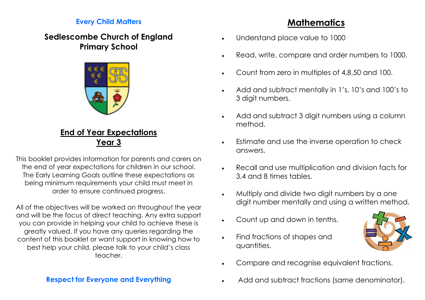#### **Every Child Matters**

## **Sedlescombe Church of England Primary School**



### **End of Year Expectations Year 3**

This booklet provides information for parents and carers on the end of year expectations for children in our school. The Early Learning Goals outline these expectations as being minimum requirements your child must meet in order to ensure continued progress.

All of the objectives will be worked on throughout the year and will be the focus of direct teaching. Any extra support you can provide in helping your child to achieve these is greatly valued. If you have any queries regarding the content of this booklet or want support in knowing how to best help your child, please talk to your child's class teacher.

## **Mathematics**

- Understand place value to 1000
- Read, write, compare and order numbers to 1000.
- Count from zero in multiples of 4,8,50 and 100.
- Add and subtract mentally in 1's, 10's and 100's to 3 digit numbers.
- Add and subtract 3 digit numbers using a column method.
- Estimate and use the inverse operation to check answers.
- Recall and use multiplication and division facts for 3,4 and 8 times tables.
- Multiply and divide two digit numbers by a one digit number mentally and using a written method.
- Count up and down in tenths.
- Find fractions of shapes and quantities.



- Compare and recognise equivalent fractions.
- Add and subtract fractions (same denominator).

### **Respect for Everyone and Everything**